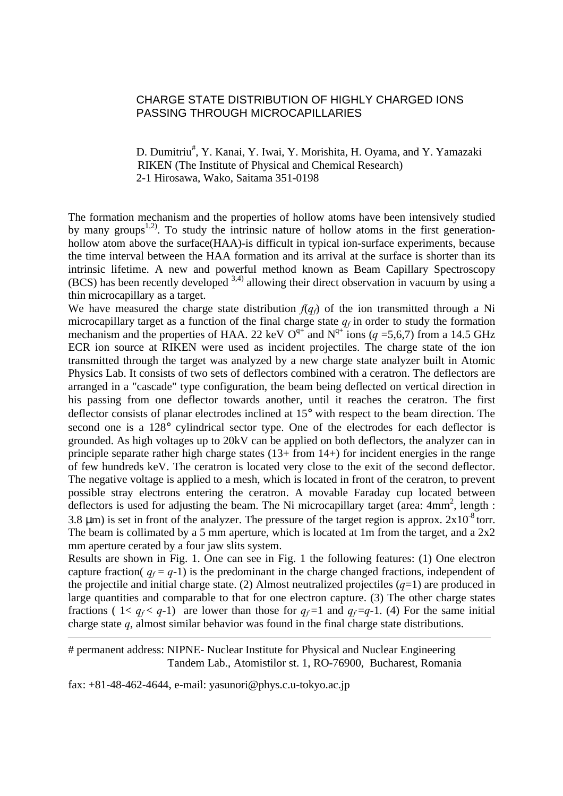## CHARGE STATE DISTRIBUTION OF HIGHLY CHARGED IONS PASSING THROUGH MICROCAPILLARIES

D. Dumitriu<sup>#</sup>, Y. Kanai, Y. Iwai, Y. Morishita, H. Oyama, and Y. Yamazaki RIKEN (The Institute of Physical and Chemical Research) 2-1 Hirosawa, Wako, Saitama 351-0198

The formation mechanism and the properties of hollow atoms have been intensively studied by many groups<sup>1,2)</sup>. To study the intrinsic nature of hollow atoms in the first generationhollow atom above the surface(HAA)-is difficult in typical ion-surface experiments, because the time interval between the HAA formation and its arrival at the surface is shorter than its intrinsic lifetime. A new and powerful method known as Beam Capillary Spectroscopy (BCS) has been recently developed  $3,4$ ) allowing their direct observation in vacuum by using a thin microcapillary as a target.

We have measured the charge state distribution  $f(q_f)$  of the ion transmitted through a Ni microcapillary target as a function of the final charge state  $q_f$  in order to study the formation mechanism and the properties of HAA. 22 keV  $O^{q+}$  and  $N^{q+}$  ions (*q* = 5,6,7) from a 14.5 GHz ECR ion source at RIKEN were used as incident projectiles. The charge state of the ion transmitted through the target was analyzed by a new charge state analyzer built in Atomic Physics Lab. It consists of two sets of deflectors combined with a ceratron. The deflectors are arranged in a "cascade" type configuration, the beam being deflected on vertical direction in his passing from one deflector towards another, until it reaches the ceratron. The first deflector consists of planar electrodes inclined at 15° with respect to the beam direction. The second one is a 128° cylindrical sector type. One of the electrodes for each deflector is grounded. As high voltages up to 20kV can be applied on both deflectors, the analyzer can in principle separate rather high charge states (13+ from 14+) for incident energies in the range of few hundreds keV. The ceratron is located very close to the exit of the second deflector. The negative voltage is applied to a mesh, which is located in front of the ceratron, to prevent possible stray electrons entering the ceratron. A movable Faraday cup located between deflectors is used for adjusting the beam. The Ni microcapillary target (area:  $4mm^2$ , length : 3.8  $\mu$ m) is set in front of the analyzer. The pressure of the target region is approx. 2x10<sup>-8</sup> torr. The beam is collimated by a 5 mm aperture, which is located at 1m from the target, and a 2x2 mm aperture cerated by a four jaw slits system.

Results are shown in Fig. 1. One can see in Fig. 1 the following features: (1) One electron capture fraction( $q_f = q-1$ ) is the predominant in the charge changed fractions, independent of the projectile and initial charge state. (2) Almost neutralized projectiles  $(q=1)$  are produced in large quantities and comparable to that for one electron capture. (3) The other charge states fractions (  $1 < q_f < q-1$ ) are lower than those for  $q_f=1$  and  $q_f=q-1$ . (4) For the same initial charge state *q*, almost similar behavior was found in the final charge state distributions.

# permanent address: NIPNE- Nuclear Institute for Physical and Nuclear Engineering Tandem Lab., Atomistilor st. 1, RO-76900, Bucharest, Romania

fax:  $+81-48-462-4644$ , e-mail: yasunori@phys.c.u-tokyo.ac.jp